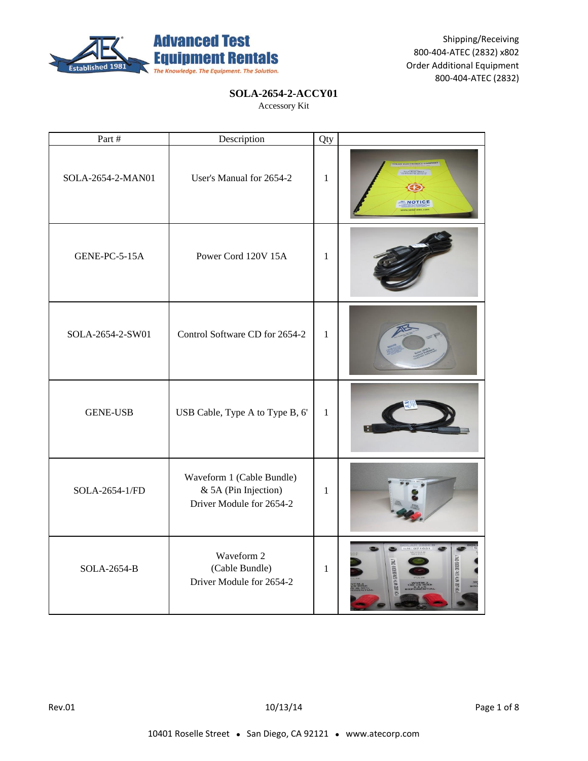

## **SOLA-2654-2-ACCY01**

| Part #             | Description                                                                   | Qty          |                                            |
|--------------------|-------------------------------------------------------------------------------|--------------|--------------------------------------------|
| SOLA-2654-2-MAN01  | User's Manual for 2654-2                                                      | $\mathbf{1}$ |                                            |
| GENE-PC-5-15A      | Power Cord 120V 15A                                                           | $\mathbf{1}$ |                                            |
| SOLA-2654-2-SW01   | Control Software CD for 2654-2                                                | $\mathbf{1}$ |                                            |
| <b>GENE-USB</b>    | USB Cable, Type A to Type B, 6'                                               | $\mathbf{1}$ |                                            |
| SOLA-2654-1/FD     | Waveform 1 (Cable Bundle)<br>& 5A (Pin Injection)<br>Driver Module for 2654-2 | $\mathbf{1}$ |                                            |
| <b>SOLA-2654-B</b> | Waveform 2<br>(Cable Bundle)<br>Driver Module for 2654-2                      | $\mathbf{1}$ | <b>1 USE WITH S/N: 069309 OF</b><br>060009 |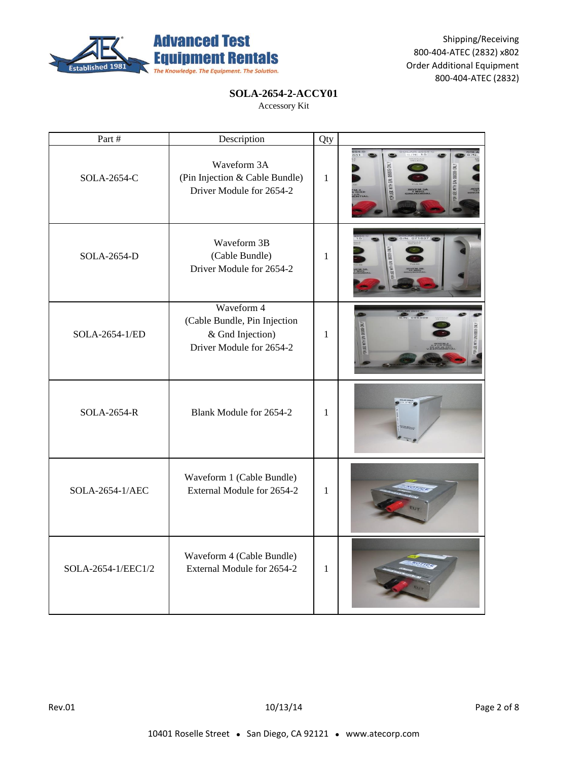

### **SOLA-2654-2-ACCY01**

| Part #             | Description                                                                                | Qty          |                                 |
|--------------------|--------------------------------------------------------------------------------------------|--------------|---------------------------------|
| SOLA-2654-C        | Waveform 3A<br>(Pin Injection & Cable Bundle)<br>Driver Module for 2654-2                  | $\mathbf{1}$ | TH S.N: 06992<br>TH SIN: 068309 |
| SOLA-2654-D        | Waveform 3B<br>(Cable Bundle)<br>Driver Module for 2654-2                                  | $\mathbf{1}$ |                                 |
| SOLA-2654-1/ED     | Waveform 4<br>(Cable Bundle, Pin Injection<br>& Gnd Injection)<br>Driver Module for 2654-2 | 1            |                                 |
| SOLA-2654-R        | Blank Module for 2654-2                                                                    | $\mathbf{1}$ |                                 |
| SOLA-2654-1/AEC    | Waveform 1 (Cable Bundle)<br>External Module for 2654-2                                    | $\mathbf{1}$ |                                 |
| SOLA-2654-1/EEC1/2 | Waveform 4 (Cable Bundle)<br>External Module for 2654-2                                    | $\mathbf{1}$ |                                 |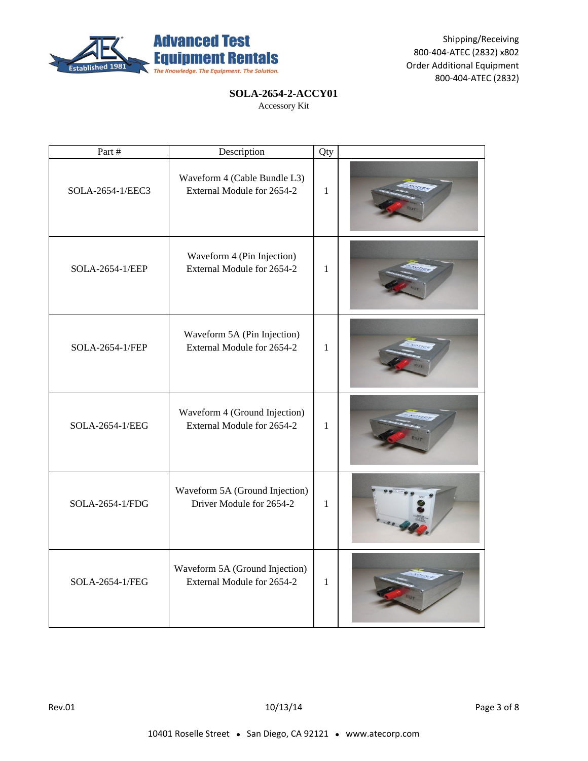

# **SOLA-2654-2-ACCY01**

| Part #           | Description                                                  | Qty          |  |
|------------------|--------------------------------------------------------------|--------------|--|
| SOLA-2654-1/EEC3 | Waveform 4 (Cable Bundle L3)<br>External Module for 2654-2   | $\mathbf{1}$ |  |
| SOLA-2654-1/EEP  | Waveform 4 (Pin Injection)<br>External Module for 2654-2     | $\mathbf{1}$ |  |
| SOLA-2654-1/FEP  | Waveform 5A (Pin Injection)<br>External Module for 2654-2    | $\mathbf{1}$ |  |
| SOLA-2654-1/EEG  | Waveform 4 (Ground Injection)<br>External Module for 2654-2  | $\mathbf{1}$ |  |
| SOLA-2654-1/FDG  | Waveform 5A (Ground Injection)<br>Driver Module for 2654-2   | $\mathbf{1}$ |  |
| SOLA-2654-1/FEG  | Waveform 5A (Ground Injection)<br>External Module for 2654-2 | $\mathbf{1}$ |  |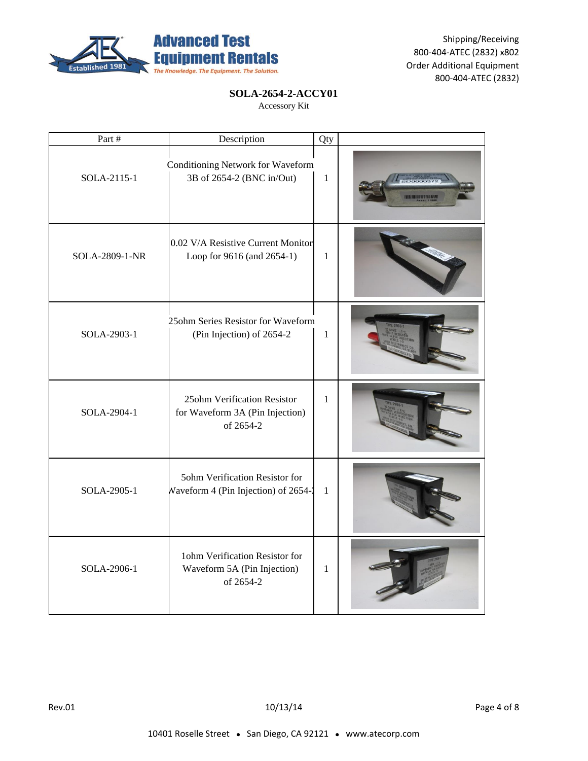

### **SOLA-2654-2-ACCY01**

| Part #         | Description                                                                 | Qty          |                                      |
|----------------|-----------------------------------------------------------------------------|--------------|--------------------------------------|
| SOLA-2115-1    | Conditioning Network for Waveform<br>3B of 2654-2 (BNC in/Out)              | $\mathbf{1}$ | 11 119 11 119 119 119 119 119 119 11 |
| SOLA-2809-1-NR | 0.02 V/A Resistive Current Monitor<br>Loop for 9616 (and 2654-1)            | $\mathbf{1}$ |                                      |
| SOLA-2903-1    | 25ohm Series Resistor for Waveform<br>(Pin Injection) of 2654-2             | $\mathbf{1}$ |                                      |
| SOLA-2904-1    | 25ohm Verification Resistor<br>for Waveform 3A (Pin Injection)<br>of 2654-2 | $\mathbf{1}$ |                                      |
| SOLA-2905-1    | 5ohm Verification Resistor for<br>Waveform 4 (Pin Injection) of 2654-2      | $\mathbf{1}$ |                                      |
| SOLA-2906-1    | 1ohm Verification Resistor for<br>Waveform 5A (Pin Injection)<br>of 2654-2  | $\mathbf{1}$ |                                      |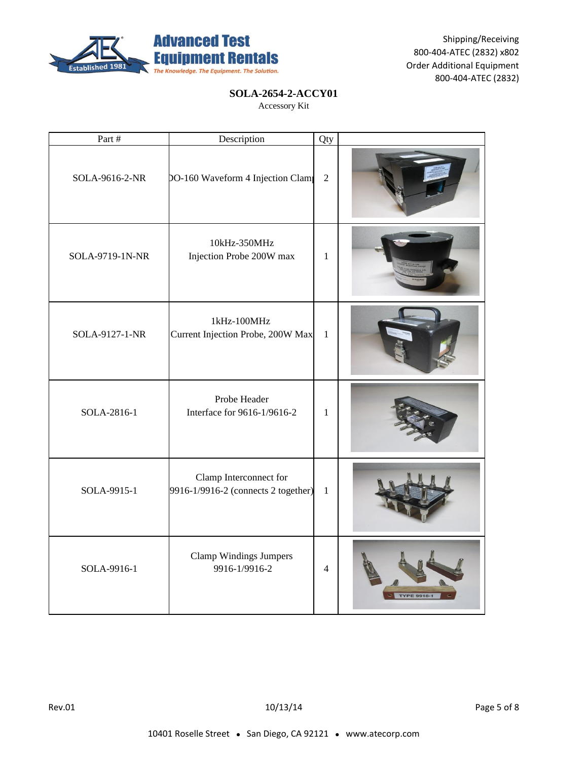

### **SOLA-2654-2-ACCY01**

| Part #          | Description                                                   | Qty            |                  |
|-----------------|---------------------------------------------------------------|----------------|------------------|
| SOLA-9616-2-NR  | DO-160 Waveform 4 Injection Clam                              | $\overline{2}$ |                  |
| SOLA-9719-1N-NR | 10kHz-350MHz<br>Injection Probe 200W max                      | $\mathbf{1}$   |                  |
| SOLA-9127-1-NR  | 1kHz-100MHz<br>Current Injection Probe, 200W Max              | $\mathbf{1}$   |                  |
| SOLA-2816-1     | Probe Header<br>Interface for 9616-1/9616-2                   | $\mathbf{1}$   |                  |
| SOLA-9915-1     | Clamp Interconnect for<br>9916-1/9916-2 (connects 2 together) | $\mathbf{1}$   |                  |
| SOLA-9916-1     | <b>Clamp Windings Jumpers</b><br>9916-1/9916-2                | $\overline{4}$ | <b>TYPE 9916</b> |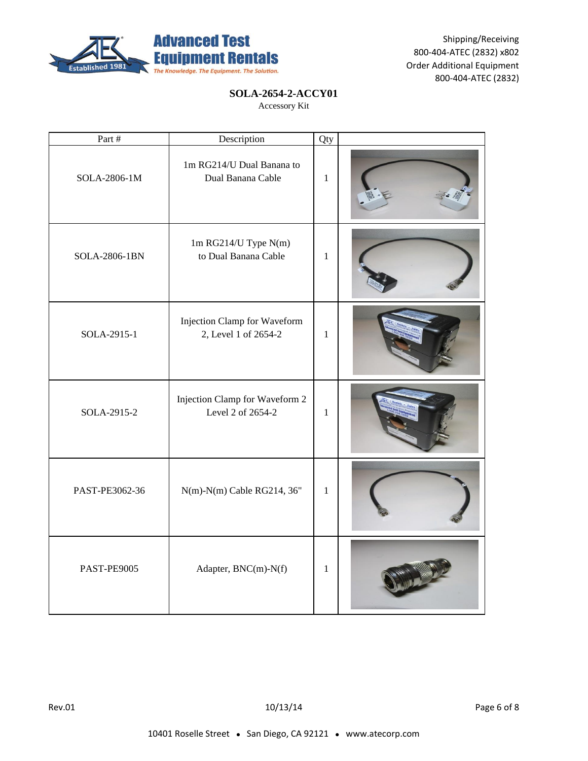

### **SOLA-2654-2-ACCY01**

| Part #         | Description                                          | Qty          |  |
|----------------|------------------------------------------------------|--------------|--|
| SOLA-2806-1M   | 1m RG214/U Dual Banana to<br>Dual Banana Cable       | $\mathbf{1}$ |  |
| SOLA-2806-1BN  | 1m RG214/U Type N(m)<br>to Dual Banana Cable         | $\mathbf{1}$ |  |
| SOLA-2915-1    | Injection Clamp for Waveform<br>2, Level 1 of 2654-2 | $\mathbf{1}$ |  |
| SOLA-2915-2    | Injection Clamp for Waveform 2<br>Level 2 of 2654-2  | $\mathbf{1}$ |  |
| PAST-PE3062-36 | N(m)-N(m) Cable RG214, 36"                           | $\mathbf{1}$ |  |
| PAST-PE9005    | Adapter, BNC(m)-N(f)                                 | $\mathbf{1}$ |  |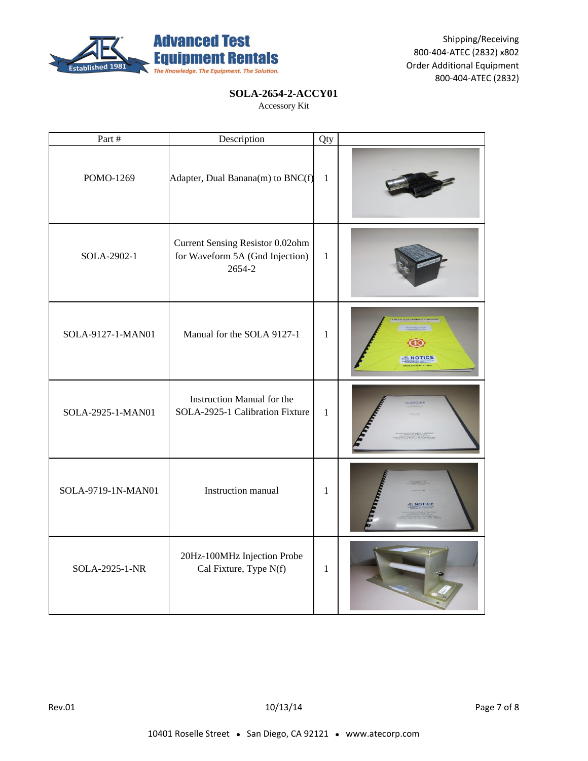

### **SOLA-2654-2-ACCY01**

| Part #             | Description                                                                   | Qty          |  |
|--------------------|-------------------------------------------------------------------------------|--------------|--|
| POMO-1269          | Adapter, Dual Banana(m) to BNC(f)                                             | $1\,$        |  |
| SOLA-2902-1        | Current Sensing Resistor 0.02ohm<br>for Waveform 5A (Gnd Injection)<br>2654-2 | $\mathbf{1}$ |  |
| SOLA-9127-1-MAN01  | Manual for the SOLA 9127-1                                                    | $\mathbf{1}$ |  |
| SOLA-2925-1-MAN01  | Instruction Manual for the<br>SOLA-2925-1 Calibration Fixture                 | $\mathbf{1}$ |  |
| SOLA-9719-1N-MAN01 | Instruction manual                                                            | 1            |  |
| SOLA-2925-1-NR     | 20Hz-100MHz Injection Probe<br>Cal Fixture, Type N(f)                         | $\mathbf{1}$ |  |